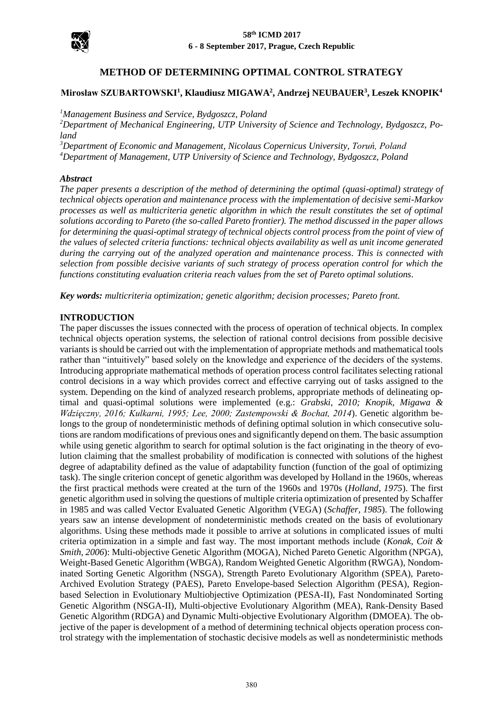

# **METHOD OF DETERMINING OPTIMAL CONTROL STRATEGY**

# **Mirosław SZUBARTOWSKI<sup>1</sup> , Klaudiusz MIGAWA<sup>2</sup> , Andrzej NEUBAUER<sup>3</sup> , Leszek KNOPIK<sup>4</sup>**

*<sup>1</sup>Management Business and Service, Bydgoszcz, Poland*

*<sup>2</sup>Department of Mechanical Engineering, UTP University of Science and Technology, Bydgoszcz, Poland*

*<sup>3</sup>Department of Economic and Management, Nicolaus Copernicus University, Toruń, Poland <sup>4</sup>Department of Management, UTP University of Science and Technology, Bydgoszcz, Poland*

#### *Abstract*

*The paper presents a description of the method of determining the optimal (quasi-optimal) strategy of technical objects operation and maintenance process with the implementation of decisive semi-Markov processes as well as multicriteria genetic algorithm in which the result constitutes the set of optimal solutions according to Pareto (the so-called Pareto frontier). The method discussed in the paper allows for determining the quasi-optimal strategy of technical objects control process from the point of view of the values of selected criteria functions: technical objects availability as well as unit income generated during the carrying out of the analyzed operation and maintenance process. This is connected with selection from possible decisive variants of such strategy of process operation control for which the functions constituting evaluation criteria reach values from the set of Pareto optimal solutions.*

*Key words: multicriteria optimization; genetic algorithm; decision processes; Pareto front.*

### **INTRODUCTION**

The paper discusses the issues connected with the process of operation of technical objects. In complex technical objects operation systems, the selection of rational control decisions from possible decisive variants is should be carried out with the implementation of appropriate methods and mathematical tools rather than "intuitively" based solely on the knowledge and experience of the deciders of the systems. Introducing appropriate mathematical methods of operation process control facilitates selecting rational control decisions in a way which provides correct and effective carrying out of tasks assigned to the system. Depending on the kind of analyzed research problems, appropriate methods of delineating optimal and quasi-optimal solutions were implemented (e.g.: *Grabski, 2010; Knopik, Migawa & Wdzięczny, 2016; Kulkarni, 1995; Lee, 2000; Zastempowski & Bochat, 2014*). Genetic algorithm belongs to the group of nondeterministic methods of defining optimal solution in which consecutive solutions are random modifications of previous ones and significantly depend on them. The basic assumption while using genetic algorithm to search for optimal solution is the fact originating in the theory of evolution claiming that the smallest probability of modification is connected with solutions of the highest degree of adaptability defined as the value of adaptability function (function of the goal of optimizing task). The single criterion concept of genetic algorithm was developed by Holland in the 1960s, whereas the first practical methods were created at the turn of the 1960s and 1970s (*Holland, 1975*). The first genetic algorithm used in solving the questions of multiple criteria optimization of presented by Schaffer in 1985 and was called Vector Evaluated Genetic Algorithm (VEGA) (*Schaffer, 1985*). The following years saw an intense development of nondeterministic methods created on the basis of evolutionary algorithms. Using these methods made it possible to arrive at solutions in complicated issues of multi criteria optimization in a simple and fast way. The most important methods include (*Konak, Coit & Smith, 2006*): Multi-objective Genetic Algorithm (MOGA), Niched Pareto Genetic Algorithm (NPGA), Weight-Based Genetic Algorithm (WBGA), Random Weighted Genetic Algorithm (RWGA), Nondominated Sorting Genetic Algorithm (NSGA), Strength Pareto Evolutionary Algorithm (SPEA), Pareto-Archived Evolution Strategy (PAES), Pareto Envelope-based Selection Algorithm (PESA), Regionbased Selection in Evolutionary Multiobjective Optimization (PESA-II), Fast Nondominated Sorting Genetic Algorithm (NSGA-II), Multi-objective Evolutionary Algorithm (MEA), Rank-Density Based Genetic Algorithm (RDGA) and Dynamic Multi-objective Evolutionary Algorithm (DMOEA). The objective of the paper is development of a method of determining technical objects operation process control strategy with the implementation of stochastic decisive models as well as nondeterministic methods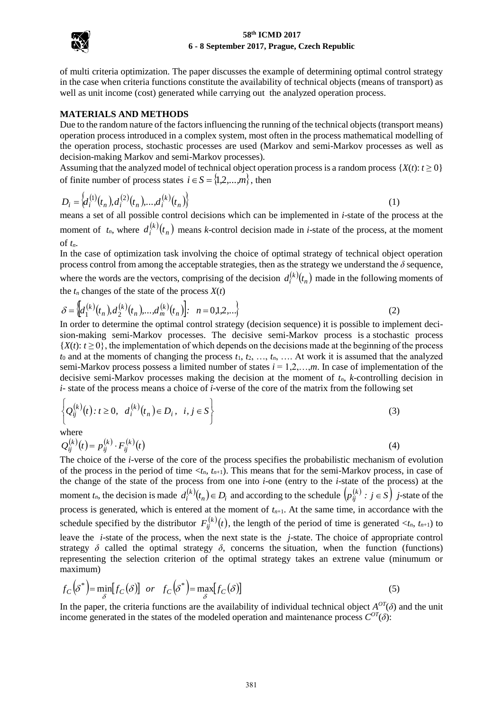

of multi criteria optimization. The paper discusses the example of determining optimal control strategy in the case when criteria functions constitute the availability of technical objects (means of transport) as well as unit income (cost) generated while carrying out the analyzed operation process.

#### **MATERIALS AND METHODS**

Due to the random nature of the factors influencing the running of the technical objects (transport means) operation process introduced in a complex system, most often in the process mathematical modelling of the operation process, stochastic processes are used (Markov and semi-Markov processes as well as decision-making Markov and semi-Markov processes).

Assuming that the analyzed model of technical object operation process is a random process  $\{X(t): t \geq 0\}$ of finite number of process states  $i \in S = \{1, 2, ..., m\}$ , then

$$
D_i = \left\{ d_i^{(1)}(t_n), d_i^{(2)}(t_n), \dots, d_i^{(k)}(t_n) \right\}
$$
 (1)

means a set of all possible control decisions which can be implemented in *i*-state of the process at the moment of  $t_n$ , where  $d_i^{(k)}(t_n)$  $d_i^{(k)}(t_n)$  means *k*-control decision made in *i*-state of the process, at the moment of *tn*.

In the case of optimization task involving the choice of optimal strategy of technical object operation process control from among the acceptable strategies, then as the strategy we understand the *δ* sequence, where the words are the vectors, comprising of the decision  $d_i^{(k)}(t_n)$  made in the following moments of

the 
$$
t_n
$$
 changes of the state of the process  $X(t)$   
\n
$$
\delta = \left\{ d_1^{(k)}(t_n), d_2^{(k)}(t_n), \dots, d_m^{(k)}(t_n) \right\} : n = 0,1,2,... \tag{2}
$$

In order to determine the optimal control strategy (decision sequence) it is possible to implement decision-making semi-Markov processes. The decisive semi-Markov process is a stochastic process  ${X(t): t \geq 0}$ , the implementation of which depends on the decisions made at the beginning of the process  $t_0$  and at the moments of changing the process  $t_1, t_2, \ldots, t_n, \ldots$  At work it is assumed that the analyzed semi-Markov process possess a limited number of states *i* = 1,2,…,*m*. In case of implementation of the decisive semi-Markov processes making the decision at the moment of  $t_n$ , *k*-controlling decision in

*i*- state of the process means a choice of *i*-verse of the core of the matrix from the following set\n
$$
\left\{ Q_{ij}^{(k)}(t) : t \geq 0, \ d_i^{(k)}(t_n) \in D_i, \ i, j \in S \right\}
$$
\n(3)

where

$$
Q_{ij}^{(k)}(t) = p_{ij}^{(k)} \cdot F_{ij}^{(k)}(t)
$$
\n(4)

The choice of the *i*-verse of the core of the process specifies the probabilistic mechanism of evolution of the process in the period of time  $\langle t_n, t_{n+1} \rangle$ . This means that for the semi-Markov process, in case of the change of the state of the process from one into *i*-one (entry to the *i*-state of the process) at the moment  $t_n$ , the decision is made  $d_i^{(k)}(t_n) \in D_i$  and according to the schedule  $(p_{ij}^{(k)} : j \in S)$  *j*-state of the process is generated, which is entered at the moment of  $t_{n+1}$ . At the same time, in accordance with the schedule specified by the distributor  $F_{ii}^{(k)}(t)$ ,  $f_{ij}^{(k)}(t)$ , the length of the period of time is generated  $\langle t_n, t_{n+1} \rangle$  to leave the *i*-state of the process, when the next state is the *j*-state. The choice of appropriate control strategy  $\delta$  called the optimal strategy  $\delta$ , concerns the situation, when the function (functions) strategy *o* called the optimal strategy *o*, collections the situation, when the function (functions) representing the selection criterion of the optimal strategy takes an extrene value (minumum or maximum)<br>  $f_C(\delta^*) = \min_{\$ maximum)

$$
f_C(\delta^*) = \min_{\delta} [f_C(\delta)] \quad \text{or} \quad f_C(\delta^*) = \max_{\delta} [f_C(\delta)] \tag{5}
$$

In the paper, the criteria functions are the availability of individual technical object  $A^{OT}(\delta)$  and the unit income generated in the states of the modeled operation and maintenance process  $C^{OT}(\delta)$ :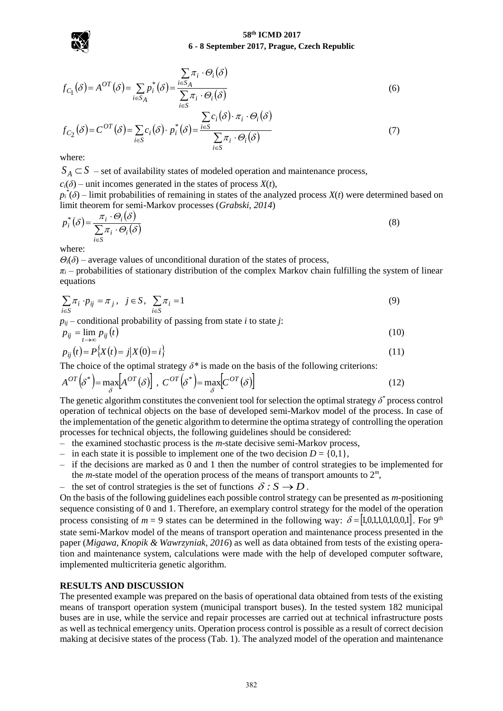

$$
f_{C_1}(\delta) = A^{OT}(\delta) = \sum_{i \in S_A} p_i^*(\delta) = \frac{\sum_{i \in S_A} \pi_i \cdot \Theta_i(\delta)}{\sum_{i \in S} \pi_i \cdot \Theta_i(\delta)}
$$
(6)  

$$
f_{C_1}(\delta) = A^{OT}(\delta) = \sum_{i \in S_A} p_i^*(\delta) = \frac{\sum_{i \in S} \pi_i \cdot \Theta_i(\delta)}{\sum_{i \in S} \pi_i \cdot \Theta_i(\delta)}
$$

$$
f_{C_2}(\delta) = C^{OT}(\delta) = \sum_{i \in S} c_i(\delta) \cdot p_i^*(\delta) = \frac{\sum_{i \in S} c_i(\delta) \cdot \pi_i \cdot \Theta_i(\delta)}{\sum_{i \in S} \pi_i \cdot \Theta_i(\delta)}
$$
(7)

where:

 $S_A \subset S$  – set of availability states of modeled operation and maintenance process,

 $c_i(\delta)$  – unit incomes generated in the states of process  $X(t)$ ,

 $p_i^*(\delta)$  – limit probabilities of remaining in states of the analyzed process *X*(*t*) were determined based on

limit theorem for semi-Markov processes (Grabski, 2014)  
\n
$$
p_i^*(\delta) = \frac{\pi_i \cdot \Theta_i(\delta)}{\sum_{i \in S} \pi_i \cdot \Theta_i(\delta)}
$$
\n(8)

where:

 $\Theta_i(\delta)$  – average values of unconditional duration of the states of process,

 $\pi$ <sup>*i*</sup> – probabilities of stationary distribution of the complex Markov chain fulfilling the system of linear equations

$$
\sum_{i \in S} \pi_i \cdot p_{ij} = \pi_j, \quad j \in S, \quad \sum_{i \in S} \pi_i = 1 \tag{9}
$$

 $p_{ij}$  – conditional probability of passing from state *i* to state *j*:

$$
p_{ij} = \lim_{t \to \infty} p_{ij}(t) \tag{10}
$$

$$
p_{ij}(t) = P\{X(t) = j | X(0) = i\}
$$
\n(11)

The choice of the optimal strategy 
$$
\delta^*
$$
 is made on the basis of the following criterion:  
\n
$$
A^{OT}(\delta^*) = \max_{\delta} [A^{OT}(\delta)] , C^{OT}(\delta^*) = \max_{\delta} [C^{OT}(\delta)]
$$
\n(12)

The genetic algorithm constitutes the convenient tool for selection the optimal strategy *δ \** process control operation of technical objects on the base of developed semi-Markov model of the process. In case of the implementation of the genetic algorithm to determine the optima strategy of controlling the operation processes for technical objects, the following guidelines should be considered:

- the examined stochastic process is the *m*-state decisive semi-Markov process,
- in each state it is possible to implement one of the two decision  $D = \{0,1\}$ ,
- if the decisions are marked as 0 and 1 then the number of control strategies to be implemented for the *m*-state model of the operation process of the means of transport amounts to 2*<sup>m</sup>* ,
- the set of control strategies is the set of functions  $\delta : S \to D$ .

On the basis of the following guidelines each possible control strategy can be presented as *m-*positioning sequence consisting of 0 and 1. Therefore, an exemplary control strategy for the model of the operation process consisting of  $m = 9$  states can be determined in the following way:  $\delta = [1,0,1,1,0,1,0,0,1]$ . For 9<sup>th</sup> state semi-Markov model of the means of transport operation and maintenance process presented in the paper (*Migawa, Knopik & Wawrzyniak, 2016*) as well as data obtained from tests of the existing operation and maintenance system, calculations were made with the help of developed computer software, implemented multicriteria genetic algorithm.

### **RESULTS AND DISCUSSION**

The presented example was prepared on the basis of operational data obtained from tests of the existing means of transport operation system (municipal transport buses). In the tested system 182 municipal buses are in use, while the service and repair processes are carried out at technical infrastructure posts as well as technical emergency units. Operation process control is possible as a result of correct decision making at decisive states of the process (Tab. 1). The analyzed model of the operation and maintenance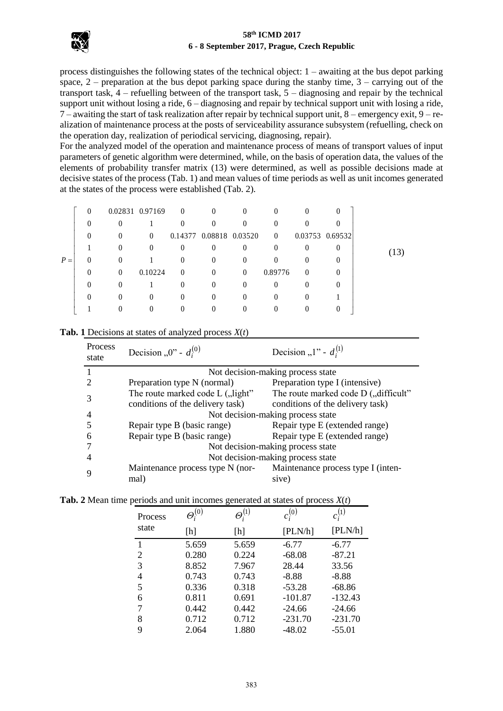

process distinguishes the following states of the technical object: 1 – awaiting at the bus depot parking space,  $2$  – preparation at the bus depot parking space during the stanby time,  $3$  – carrying out of the transport task, 4 – refuelling between of the transport task, 5 – diagnosing and repair by the technical support unit without losing a ride, 6 – diagnosing and repair by technical support unit with losing a ride, 7 – awaiting the start of task realization after repair by technical support unit, 8 – emergency exit, 9 – realization of maintenance process at the posts of serviceability assurance subsystem (refuelling, check on the operation day, realization of periodical servicing, diagnosing, repair).

For the analyzed model of the operation and maintenance process of means of transport values of input parameters of genetic algorithm were determined, while, on the basis of operation data, the values of the elements of probability transfer matrix (13) were determined, as well as possible decisions made at decisive states of the process (Tab. 1) and mean values of time periods as well as unit incomes generated at the states of the process were established (Tab. 2).

|       | $\Omega$ |          | 0.02831 0.97169 | $\sim 0$ | $\Omega$                | $\theta$ | $\overline{0}$ |          | 0                   |     |
|-------|----------|----------|-----------------|----------|-------------------------|----------|----------------|----------|---------------------|-----|
|       | $\theta$ | 0        |                 | $\theta$ | $\theta$                | $\Omega$ | $\overline{0}$ |          |                     |     |
|       | $\theta$ | $\theta$ | $\theta$        |          | 0.14377 0.08818 0.03520 |          | $\overline{0}$ |          | $0.03753$ $0.69532$ |     |
|       |          | $\theta$ | $\theta$        | $\Omega$ | $\theta$                | $\theta$ | $\Omega$       |          | $_{0}$              | 13) |
| $P =$ | $\Omega$ | $\Omega$ |                 | $\Omega$ | $\Omega$                | $\Omega$ | $\Omega$       |          |                     |     |
|       | 0        | $\left($ | 0.10224         | $\theta$ | $\theta$                | $\Omega$ | 0.89776        | $\Omega$ |                     |     |
|       | 0        | $\theta$ |                 | $\theta$ | $\Omega$                | $\Omega$ | $\Omega$       |          |                     |     |
|       |          | $\theta$ |                 | 0        | $\Omega$                | $\theta$ | $\Omega$       |          |                     |     |
|       |          | $^{(1)}$ |                 | $\Omega$ |                         | 0        | $\theta$       |          | 0                   |     |

| Process<br>state | Decision "0" - $d_i^{(0)}$                                           | Decision "1" - $d_i^{(1)}$                                               |  |  |  |
|------------------|----------------------------------------------------------------------|--------------------------------------------------------------------------|--|--|--|
|                  |                                                                      | Not decision-making process state                                        |  |  |  |
| 2                | Preparation type N (normal)                                          | Preparation type I (intensive)                                           |  |  |  |
| 3                | The route marked code L ("light"<br>conditions of the delivery task) | The route marked code D ("difficult"<br>conditions of the delivery task) |  |  |  |
| 4                |                                                                      | Not decision-making process state                                        |  |  |  |
|                  | Repair type B (basic range)                                          | Repair type E (extended range)                                           |  |  |  |
| 6                | Repair type B (basic range)                                          | Repair type E (extended range)                                           |  |  |  |
|                  | Not decision-making process state                                    |                                                                          |  |  |  |
|                  | Not decision-making process state                                    |                                                                          |  |  |  |
| 9                | Maintenance process type N (nor-<br>mal)                             | Maintenance process type I (inten-<br>sive)                              |  |  |  |

**Tab. 1** Decisions at states of analyzed process *X*(*t*)

| Tab. 2 Mean time periods and unit incomes generated at states of process $X(t)$ |  |
|---------------------------------------------------------------------------------|--|
|---------------------------------------------------------------------------------|--|

| <b>Process</b> | $\varTheta_i^{(0)}$ | $\varTheta_i^{(1)}$ | $c_i^{(0)}$ | $c_i^{(1)}$ |
|----------------|---------------------|---------------------|-------------|-------------|
| state          | [h]                 | [h]                 | [PLN/h]     | [PLN/h]     |
| 1              | 5.659               | 5.659               | $-6.77$     | $-6.77$     |
| 2              | 0.280               | 0.224               | $-68.08$    | $-87.21$    |
| 3              | 8.852               | 7.967               | 28.44       | 33.56       |
| 4              | 0.743               | 0.743               | $-8.88$     | $-8.88$     |
| 5              | 0.336               | 0.318               | $-53.28$    | $-68.86$    |
| 6              | 0.811               | 0.691               | $-101.87$   | $-132.43$   |
| 7              | 0.442               | 0.442               | $-24.66$    | $-24.66$    |
| 8              | 0.712               | 0.712               | $-231.70$   | $-231.70$   |
| 9              | 2.064               | 1.880               | $-48.02$    | $-55.01$    |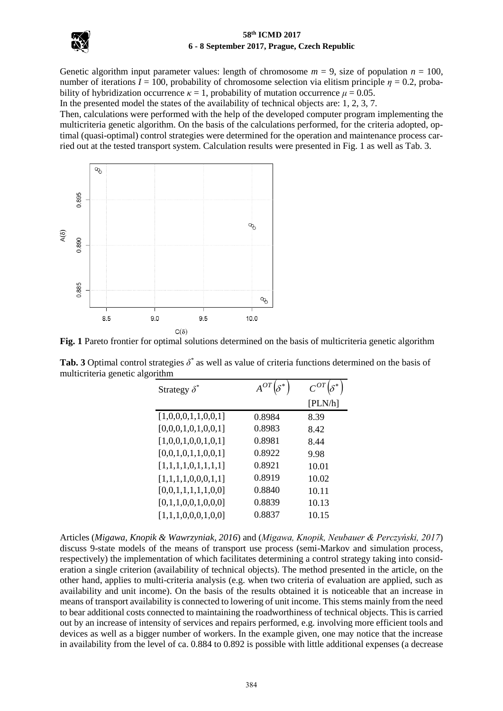

Genetic algorithm input parameter values: length of chromosome  $m = 9$ , size of population  $n = 100$ , number of iterations  $I = 100$ , probability of chromosome selection via elitism principle  $\eta = 0.2$ , probability of hybridization occurrence  $\kappa = 1$ , probability of mutation occurrence  $\mu = 0.05$ .

In the presented model the states of the availability of technical objects are: 1, 2, 3, 7.

Then, calculations were performed with the help of the developed computer program implementing the multicriteria genetic algorithm. On the basis of the calculations performed, for the criteria adopted, optimal (quasi-optimal) control strategies were determined for the operation and maintenance process carried out at the tested transport system. Calculation results were presented in Fig. 1 as well as Tab. 3.



**Fig. 1** Pareto frontier for optimal solutions determined on the basis of multicriteria genetic algorithm

| Strategy $\delta^*$ |        |         |
|---------------------|--------|---------|
|                     |        | [PLN/h] |
| [1,0,0,0,1,1,0,0,1] | 0.8984 | 8.39    |
| [0,0,0,1,0,1,0,0,1] | 0.8983 | 8.42    |
| [1,0,0,1,0,0,1,0,1] | 0.8981 | 8.44    |
| [0,0,1,0,1,1,0,0,1] | 0.8922 | 9.98    |
| [1,1,1,1,0,1,1,1,1] | 0.8921 | 10.01   |
| [1,1,1,1,0,0,0,1,1] | 0.8919 | 10.02   |
| [0,0,1,1,1,1,1,0,0] | 0.8840 | 10.11   |
| [0,1,1,0,0,1,0,0,0] | 0.8839 | 10.13   |
| [1,1,1,0,0,0,1,0,0] | 0.8837 | 10.15   |

**Tab. 3** Optimal control strategies *δ \** as well as value of criteria functions determined on the basis of multicriteria genetic algorithm

Articles (*Migawa, Knopik & Wawrzyniak, 2016*) and (*Migawa, Knopik, Neubauer & Perczyński, 2017*) discuss 9-state models of the means of transport use process (semi-Markov and simulation process, respectively) the implementation of which facilitates determining a control strategy taking into consideration a single criterion (availability of technical objects). The method presented in the article, on the other hand, applies to multi-criteria analysis (e.g. when two criteria of evaluation are applied, such as availability and unit income). On the basis of the results obtained it is noticeable that an increase in means of transport availability is connected to lowering of unit income. This stems mainly from the need to bear additional costs connected to maintaining the roadworthiness of technical objects. This is carried out by an increase of intensity of services and repairs performed, e.g. involving more efficient tools and devices as well as a bigger number of workers. In the example given, one may notice that the increase in availability from the level of ca. 0.884 to 0.892 is possible with little additional expenses (a decrease